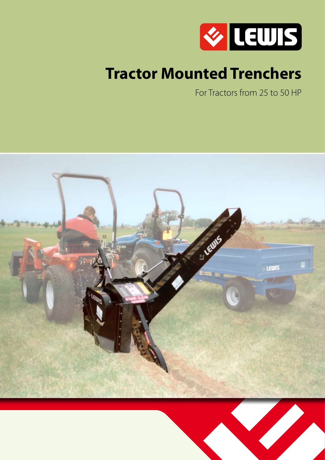

# **Tractor Mounted Trenchers**

For Tractors from 25 to 50 HP